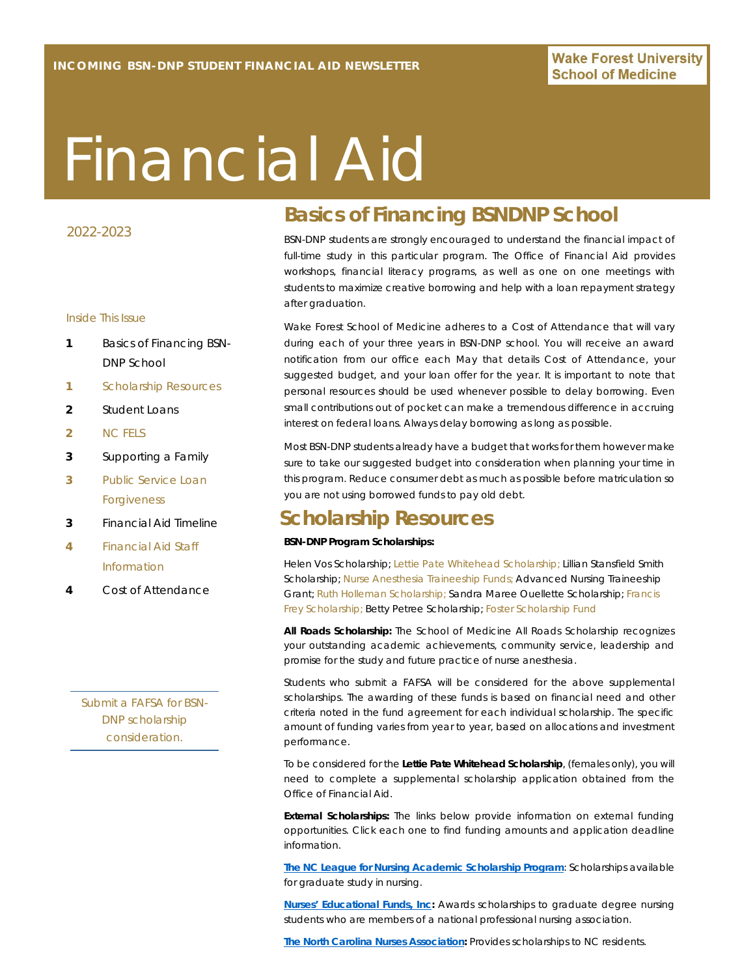# Financial Aid

#### 2022-2023

#### Inside This Issue

- **1** Basics of Financing BSN-DNP School
- **1** Scholarship Resources
- **2** Student Loans
- **2** NC FELS
- **3** Supporting a Family
- **3** Public Service Loan Forgiveness
- **3** Financial Aid Timeline
- **4** Financial Aid Staff Information
- **4** Cost of Attendance

*Submit a FAFSA for BSN-DNP scholarship consideration.*

# **Basics of Financing BSNDNP School**

BSN-DNP students are strongly encouraged to understand the financial impact of full-time study in this particular program. The Office of Financial Aid provides workshops, financial literacy programs, as well as one on one meetings with students to maximize creative borrowing and help with a loan repayment strategy after graduation.

Wake Forest School of Medicine adheres to a Cost of Attendance that will vary during each of your three years in BSN-DNP school. You will receive an award notification from our office each May that details Cost of Attendance, your suggested budget, and your loan offer for the year. It is important to note that personal resources should be used whenever possible to delay borrowing. Even small contributions out of pocket can make a tremendous difference in accruing interest on federal loans. Always delay borrowing as long as possible.

Most BSN-DNP students already have a budget that works for them however make sure to take our suggested budget into consideration when planning your time in this program. Reduce consumer debt as much as possible before matriculation so you are not using borrowed funds to pay old debt.

## **Scholarship Resources**

#### **BSN-DNP Program Scholarships:**

Helen Vos Scholarship; Lettie Pate Whitehead Scholarship; Lillian Stansfield Smith Scholarship; Nurse Anesthesia Traineeship Funds; Advanced Nursing Traineeship Grant; Ruth Holleman Scholarship; Sandra Maree Ouellette Scholarship; Francis Frey Scholarship; Betty Petree Scholarship; Foster Scholarship Fund

**All Roads Scholarship:** The School of Medicine All Roads Scholarship recognizes your outstanding academic achievements, community service, leadership and promise for the study and future practice of nurse anesthesia.

Students who submit a FAFSA will be considered for the above supplemental scholarships. The awarding of these funds is based on financial need and other criteria noted in the fund agreement for each individual scholarship. The specific amount of funding varies from year to year, based on allocations and investment performance.

To be considered for the **Lettie Pate Whitehead Scholarship**, (females only), you will need to complete a supplemental scholarship application obtained from the Office of Financial Aid.

**External Scholarships:** The links below provide information on external funding opportunities. Click each one to find funding amounts and application deadline information.

**The NC League for Nursing Academic Scholarship Program**: Scholarships available for graduate study in nursing.

**Nurses' Educational Funds, Inc:** Awards scholarships to graduate degree nursing students who are members of a national professional nursing association.

**The North Carolina Nurses Association:** Provides scholarships to NC residents.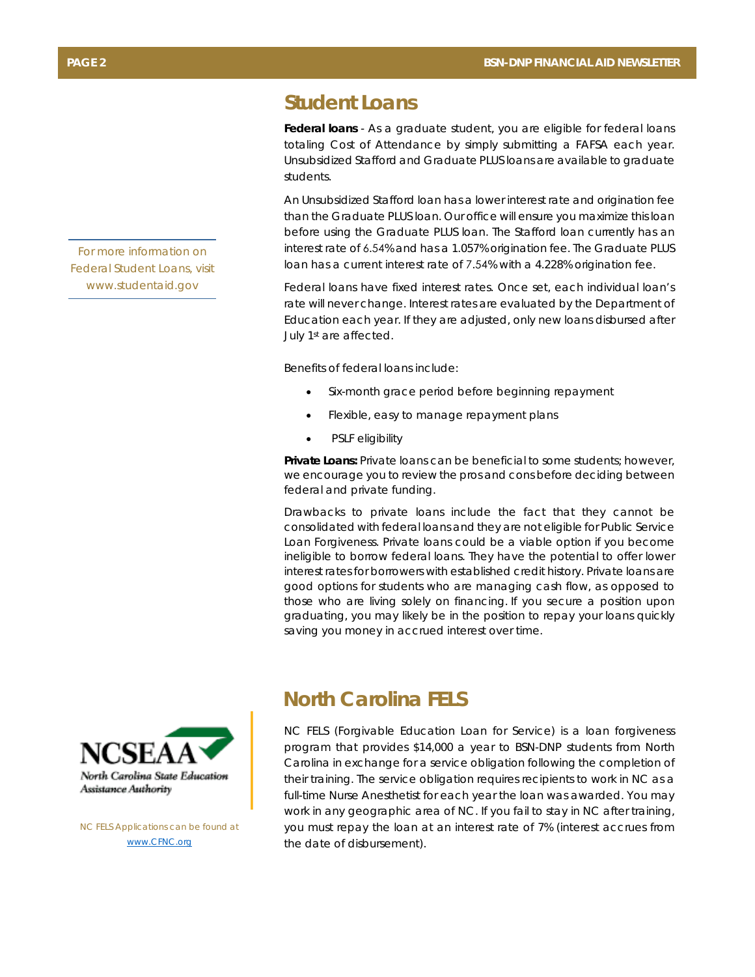### **Student Loans**

**Federal loans** - As a graduate student, you are eligible for federal loans totaling Cost of Attendance by simply submitting a FAFSA each year. Unsubsidized Stafford and Graduate PLUS loans are available to graduate students.

An Unsubsidized Stafford loan has a lower interest rate and origination fee than the Graduate PLUS loan. Our office will ensure you maximize this loan before using the Graduate PLUS loan. The Stafford loan currently has an interest rate of 6.54% and has a 1.057% origination fee. The Graduate PLUS loan has a current interest rate of 7.54% with a 4.228% origination fee.

Federal loans have fixed interest rates. Once set, each individual loan's rate will never change. Interest rates are evaluated by the Department of Education each year. If they are adjusted, only new loans disbursed after July 1st are affected.

Benefits of federal loans include:

- Six-month grace period before beginning repayment
- Flexible, easy to manage repayment plans
- PSLF eligibility

**Private Loans:** Private loans can be beneficial to some students; however, we encourage you to review the pros and cons before deciding between federal and private funding.

Drawbacks to private loans include the fact that they cannot be consolidated with federal loans and they are not eligible for Public Service Loan Forgiveness. Private loans could be a viable option if you become ineligible to borrow federal loans. They have the potential to offer lower interest rates for borrowers with established credit history. Private loans are good options for students who are managing cash flow, as opposed to those who are living solely on financing. If you secure a position upon graduating, you may likely be in the position to repay your loans quickly saving you money in accrued interest over time.

## **North Carolina FELS**

NC FELS (Forgivable Education Loan for Service) is a loan forgiveness program that provides \$14,000 a year to BSN-DNP students from North Carolina in exchange for a service obligation following the completion of their training. The service obligation requires recipients to work in NC as a full-time Nurse Anesthetist for each year the loan was awarded. You may work in any geographic area of NC. If you fail to stay in NC after training, you must repay the loan at an interest rate of 7% (interest accrues from the date of disbursement).





*NC FELS Applications can be found at www.CFNC.org*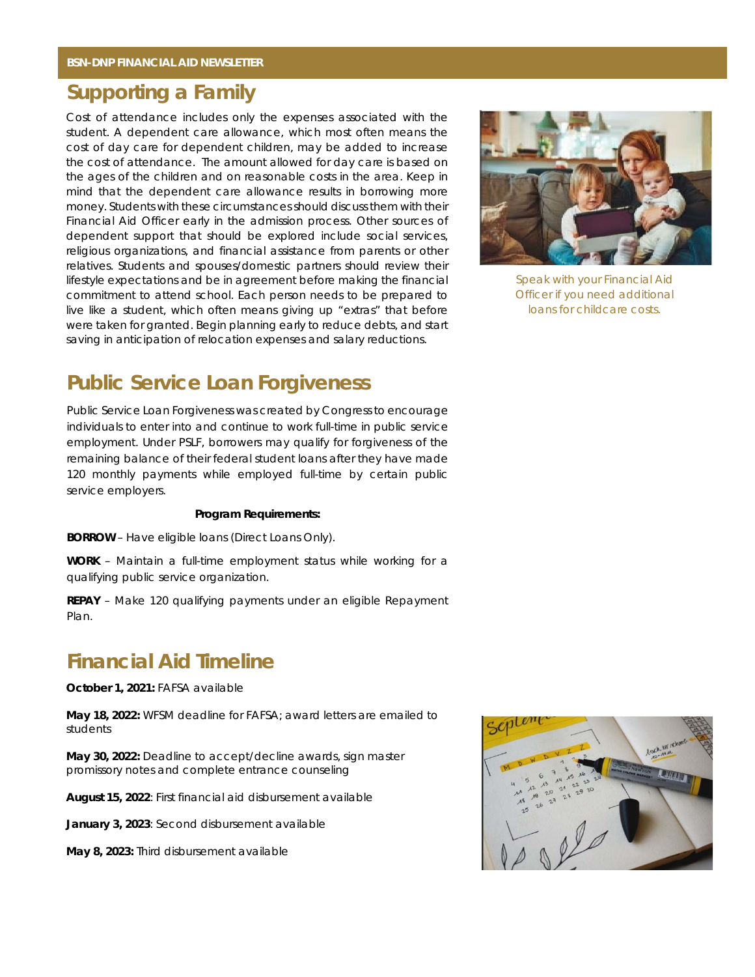# **Supporting a Family**

Cost of attendance includes only the expenses associated with the student. A dependent care allowance, which most often means the cost of day care for dependent children, may be added to increase the cost of attendance. The amount allowed for day care is based on the ages of the children and on reasonable costs in the area. Keep in mind that the dependent care allowance results in borrowing more money. Students with these circumstances should discuss them with their Financial Aid Officer early in the admission process. Other sources of dependent support that should be explored include social services, religious organizations, and financial assistance from parents or other relatives. Students and spouses/domestic partners should review their lifestyle expectations and be in agreement before making the financial commitment to attend school. Each person needs to be prepared to live like a student, which often means giving up "extras" that before were taken for granted. Begin planning early to reduce debts, and start saving in anticipation of relocation expenses and salary reductions.



*Speak with your Financial Aid Officer if you need additional loans for childcare costs.* 

## **Public Service Loan Forgiveness**

Public Service Loan Forgiveness was created by Congress to encourage individuals to enter into and continue to work full-time in public service employment. Under PSLF, borrowers may qualify for forgiveness of the remaining balance of their federal student loans after they have made 120 monthly payments while employed full-time by certain public service employers.

#### **Program Requirements:**

**BORROW** – Have eligible loans (Direct Loans Only).

**WORK** – Maintain a full-time employment status while working for a qualifying public service organization.

**REPAY** – Make 120 qualifying payments under an eligible Repayment Plan.

## **Financial Aid Timeline**

**October 1, 2021:** FAFSA available

**May 18, 2022:** WFSM deadline for FAFSA; award letters are emailed to students

**May 30, 2022:** Deadline to accept/decline awards, sign master promissory notes and complete entrance counseling

**August 15, 2022**: First financial aid disbursement available

**January 3, 2023**: Second disbursement available

**May 8, 2023:** Third disbursement available